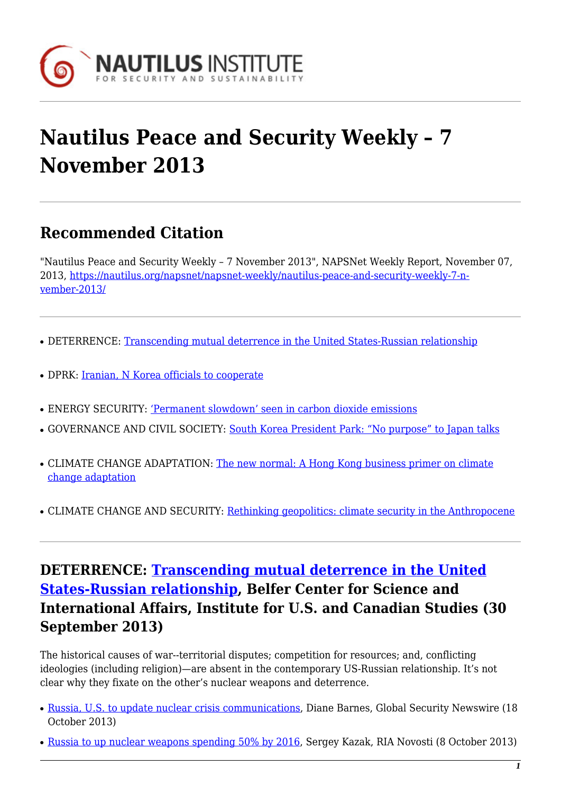

# **Nautilus Peace and Security Weekly – 7 November 2013**

# **Recommended Citation**

"Nautilus Peace and Security Weekly – 7 November 2013", NAPSNet Weekly Report, November 07, 2013, [https://nautilus.org/napsnet/napsnet-weekly/nautilus-peace-and-security-weekly-7-n](https://nautilus.org/napsnet/napsnet-weekly/nautilus-peace-and-security-weekly-7-november-2013/)[vember-2013/](https://nautilus.org/napsnet/napsnet-weekly/nautilus-peace-and-security-weekly-7-november-2013/)

- DETERRENCE: [Transcending mutual deterrence in the United States-Russian relationship](#page-0-0)
- DPRK: [Iranian, N Korea officials to cooperate](#page-1-0)
- ENERGY SECURITY: ['Permanent slowdown' seen in carbon dioxide emissions](#page-1-1)
- GOVERNANCE AND CIVIL SOCIETY: [South Korea President Park: "No purpose" to Japan talks](#page-1-2)
- CLIMATE CHANGE ADAPTATION: [The new normal: A Hong Kong business primer on climate](#page-2-0) [change adaptation](#page-2-0)
- CLIMATE CHANGE AND SECURITY: [Rethinking geopolitics: climate security in the Anthropocene](#page-2-1)

## <span id="page-0-0"></span>**DETERRENCE: [Transcending mutual deterrence in the United](http://belfercenter.ksg.harvard.edu/publication/23432/transcending_mutual_deterrence_in_the_usrussian_relationship.html) [States-Russian relationship](http://belfercenter.ksg.harvard.edu/publication/23432/transcending_mutual_deterrence_in_the_usrussian_relationship.html), Belfer Center for Science and International Affairs, Institute for U.S. and Canadian Studies (30 September 2013)**

The historical causes of war--territorial disputes; competition for resources; and, conflicting ideologies (including religion)—are absent in the contemporary US-Russian relationship. It's not clear why they fixate on the other's nuclear weapons and deterrence.

- [Russia, U.S. to update nuclear crisis communications,](http://www.nti.org/gsn/article/russia-us-update-nuclear-crisis-communications/?mgs1=58fbdsbQtb) Diane Barnes, Global Security Newswire (18) October 2013)
- [Russia to up nuclear weapons spending 50% by 2016](http://en.ria.ru/military_news/20131008/184004336/Russia-to-Up-Nuclear-Weapons-Spending-50-by-2016.html), Sergey Kazak, RIA Novosti (8 October 2013)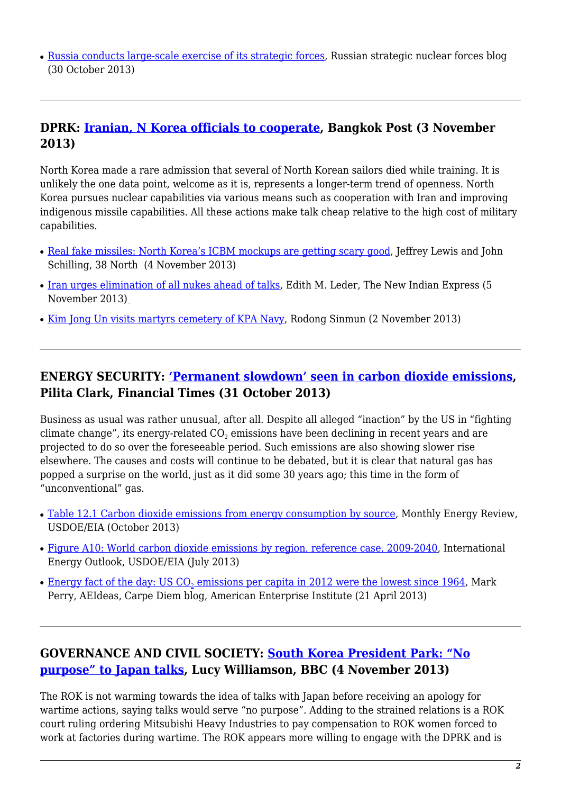• [Russia conducts large-scale exercise of its strategic forces,](http://russianforces.org/blog/2013/10/russia_conducts_large-scale_ex.shtml) Russian strategic nuclear forces blog (30 October 2013)

#### <span id="page-1-0"></span>**DPRK: [Iranian, N Korea officials to cooperate,](http://www.bangkokpost.com/breakingnews/377882/iranian-n-korean-officials-agreed-to-continue-cooperation-in-aug) Bangkok Post (3 November 2013)**

North Korea made a rare admission that several of North Korean sailors died while training. It is unlikely the one data point, welcome as it is, represents a longer-term trend of openness. North Korea pursues nuclear capabilities via various means such as cooperation with Iran and improving indigenous missile capabilities. All these actions make talk cheap relative to the high cost of military capabilities.

- [Real fake missiles: North Korea's ICBM mockups are getting scary good](http://38north.org/2013/11/lewis-schilling110513/), Jeffrey Lewis and John Schilling, 38 North (4 November 2013)
- [Iran urges elimination of all nukes ahead of talks](http://newindianexpress.com/world/Iran-urges-elimination-of-all-nukes-ahead-of-talks/2013/11/05/article1873314.ece), Edith M. Leder, The New Indian Express (5) November 2013[\)](http://newindianexpress.com/world/Iran-urges-elimination-of-all-nukes-ahead-of-talks/2013/11/05/article1873314.ece)
- [Kim Jong Un visits martyrs cemetery of KPA Navy,](http://www.rodong.rep.kp/en/index.php?strPageID=SF01_02_01&newsID=2013-11-02-0004&chAction=L) Rodong Sinmun (2 November 2013)

#### <span id="page-1-1"></span>**ENERGY SECURITY: ['Permanent slowdown' seen in carbon dioxide emissions](http://www.ft.com/intl/cms/s/0/c969f758-424b-11e3-bb85-00144feabdc0.html#axzz2juSng0mO), Pilita Clark, Financial Times (31 October 2013)**

Business as usual was rather unusual, after all. Despite all alleged "inaction" by the US in "fighting climate change", its energy-related CO $_2$  emissions have been declining in recent years and are projected to do so over the foreseeable period. Such emissions are also showing slower rise elsewhere. The causes and costs will continue to be debated, but it is clear that natural gas has popped a surprise on the world, just as it did some 30 years ago; this time in the form of "unconventional" gas.

- [Table 12.1 Carbon dioxide emissions from energy consumption by source,](http://www.eia.gov/totalenergy/data/monthly/pdf/sec12_3.pdf) Monthly Energy Review, USDOE/EIA (October 2013)
- [Figure A10: World carbon dioxide emissions by region, reference case, 2009-2040](http://www.eia.gov/forecasts/ieo/emissions.cfm), International Energy Outlook, USDOE/EIA (July 2013)
- $\bullet$  <u>[Energy fact of the day: US CO](http://www.aei-ideas.org/2013/04/energy-fact-of-the-day-us-co2-emissions-per-capita-in-2012-were-the-lowest-since-1964-main-reason-shale-gas/)<sub>[2](http://www.aei-ideas.org/2013/04/energy-fact-of-the-day-us-co2-emissions-per-capita-in-2012-were-the-lowest-since-1964-main-reason-shale-gas/)</sub> emissions per capita in 2012 were the lowest since 1964</u>, Mark Perry, AEIdeas, Carpe Diem blog, American Enterprise Institute (21 April 2013)

## <span id="page-1-2"></span>**GOVERNANCE AND CIVIL SOCIETY: [South Korea President Park: "No](http://www.bbc.co.uk/news/world-asia-24768298) [purpose" to Japan talks](http://www.bbc.co.uk/news/world-asia-24768298), Lucy Williamson, BBC (4 November 2013)**

The ROK is not warming towards the idea of talks with Japan before receiving an apology for wartime actions, saying talks would serve "no purpose". Adding to the strained relations is a ROK court ruling ordering Mitsubishi Heavy Industries to pay compensation to ROK women forced to work at factories during wartime. The ROK appears more willing to engage with the DPRK and is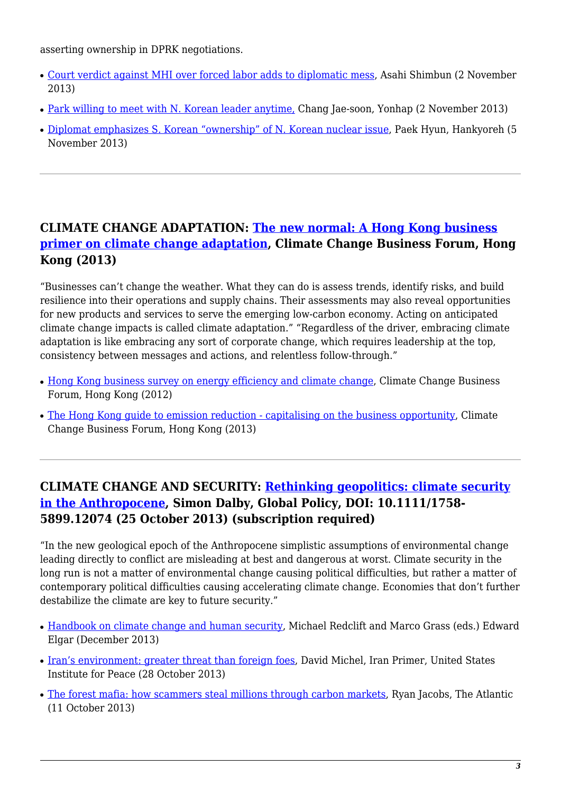asserting ownership in DPRK negotiations.

- [Court verdict against MHI over forced labor adds to diplomatic mess,](http://ajw.asahi.com/article/behind_news/politics/AJ201311020062) Asahi Shimbun (2 November 2013)
- [Park willing to meet with N. Korean leader anytime,](http://www.globalpost.com/dispatch/news/yonhap-news-agency/131102/park-willing-meet-n-korean-leader-anytime) Chang Jae-soon, Yonhap (2 November 2013)
- [Diplomat emphasizes S. Korean "ownership" of N. Korean nuclear issue,](http://english.hani.co.kr/arti/english_edition/e_northkorea/609903.html) Paek Hyun, Hankyoreh (5 November 2013)

## <span id="page-2-0"></span>**CLIMATE CHANGE ADAPTATION: [The new normal: A Hong Kong business](http://www.climatechangebusinessforum.com/en-us/research_04292013) [primer on climate change adaptation](http://www.climatechangebusinessforum.com/en-us/research_04292013), Climate Change Business Forum, Hong Kong (2013)**

"Businesses can't change the weather. What they can do is assess trends, identify risks, and build resilience into their operations and supply chains. Their assessments may also reveal opportunities for new products and services to serve the emerging low-carbon economy. Acting on anticipated climate change impacts is called climate adaptation." "Regardless of the driver, embracing climate adaptation is like embracing any sort of corporate change, which requires leadership at the top, consistency between messages and actions, and relentless follow-through."

- [Hong Kong business survey on energy efficiency and climate change](http://www.climatechangebusinessforum.com/en-us/research-11102011), Climate Change Business Forum, Hong Kong (2012)
- [The Hong Kong guide to emission reduction capitalising on the business opportunity](http://www.climatechangebusinessforum.com/en-us/ghg), Climate Change Business Forum, Hong Kong (2013)

## <span id="page-2-1"></span>**CLIMATE CHANGE AND SECURITY: [Rethinking geopolitics: climate security](http://www.globalpolicyjournal.com/articles/climate-change-energy-and-sustainability/early-view-article-rethinking-geopolitics-climate-) [in the Anthropocene,](http://www.globalpolicyjournal.com/articles/climate-change-energy-and-sustainability/early-view-article-rethinking-geopolitics-climate-) Simon Dalby, Global Policy, DOI: 10.1111/1758- 5899.12074 (25 October 2013) (subscription required)**

"In the new geological epoch of the Anthropocene simplistic assumptions of environmental change leading directly to conflict are misleading at best and dangerous at worst. Climate security in the long run is not a matter of environmental change causing political difficulties, but rather a matter of contemporary political difficulties causing accelerating climate change. Economies that don't further destabilize the climate are key to future security."

- [Handbook on climate change and human security](http://books.google.com.au/books?hl=en&lr=&id=_ePDAQAAQBAJ&oi=fnd&pg=PR3&dq="climate change" security&ots=22ZdDgVofY&sig=d5LXOTZcuC9K1v3PoUAkw4ibKb4#v=onepage&q&f=false), Michael Redclift and Marco Grass (eds.) Edward Elgar (December 2013)
- [Iran's environment: greater threat than foreign foes](http://iranprimer.usip.org/blog/2013/oct/28/iran’s-environment-greater-threat-foreign-foes), David Michel, Iran Primer, United States Institute for Peace (28 October 2013)
- [The forest mafia: how scammers steal millions through carbon markets,](http://www.theatlantic.com/international/archive/2013/10/the-forest-mafia-how-scammers-steal-millions-through-carbon-markets/280419/) Ryan Jacobs, The Atlantic (11 October 2013)